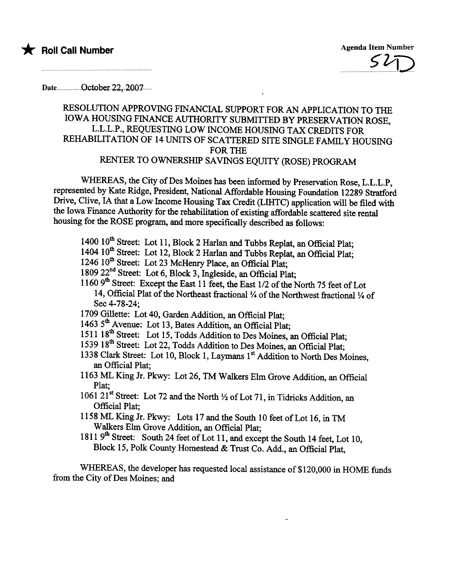

Date................October.22, 2007........

## RESOLUTION APPROVING FINANCIAL SUPPORT FOR AN APPLICATION TO THE IOWA HOUSING FINANCE AUTHORITY SUBMITTED BY PRESERVATION ROSE, L.L.L.P., REQUESTING LOW INCOME HOUSING TAX CREDITS FOR REHABILITATION OF 14 UNITS OF SCATTERED SITE SINGLE FAMILY HOUSING FOR TH RENTER TO OWNERSHIP SAVINGS EQUITY (ROSE) PROGRAM

WHEREAS, the City of Des Moines has been informed by Preservation Rose, L.L.L.P, represented by Kate Ridge, President, National Affordable Housing Foundation 12289 Stratford Drive, Clive, IA that a Low Income Housing Tax Credit (LIHTC) application will be fied with the Iowa Finance Authority for the rehabilitation of existing affordable scattered site rental housing for the ROSE program, and more specificaly described as follows:

1400 10<sup>th</sup> Street: Lot 11, Block 2 Harlan and Tubbs Replat, an Official Plat;

1404 10<sup>th</sup> Street: Lot 12, Block 2 Harlan and Tubbs Replat, an Official Plat;

1246 10<sup>th</sup> Street: Lot 23 McHenry Place, an Official Plat;

1809 22<sup>nd</sup> Street: Lot 6, Block 3, Ingleside, an Official Plat;

1160 9<sup>th</sup> Street: Except the East 11 feet, the East 1/2 of the North 75 feet of Lot 14, Official Plat of the Northeast fractional  $\frac{1}{4}$  of the Northwest fractional  $\frac{1}{4}$  of Sec 4-78-24;

1709 Gillette: Lot 40, Garden Addition, an Official Plat:

1463 5<sup>th</sup> Avenue: Lot 13, Bates Addition, an Official Plat;

1511 18<sup>th</sup> Street: Lot 15, Todds Addition to Des Moines, an Official Plat;

1539 18<sup>th</sup> Street: Lot 22, Todds Addition to Des Moines, an Official Plat;

- 1338 Clark Street: Lot 10, Block 1, Laymans 1st Addition to North Des Moines, an Official Plat:
- 1163 ML King Jr. Pkwy: Lot 26, TM Walkers Elm Grove Addition, an Official Plat;
- 1061 21<sup>st</sup> Street: Lot 72 and the North  $\frac{1}{2}$  of Lot 71, in Tidricks Addition, an Official Plat:
- 1158 ML King Jr. Pkwy: Lots 17 and the South 10 feet of Lot 16, in TM Walkers Elm Grove Addition, an Official Plat;
- 1811 9<sup>th</sup> Street: South 24 feet of Lot 11, and except the South 14 feet, Lot 10, Block 15, Polk County Homestead & Trust Co. Add., an Official Plat,

WHEREAS, the developer has requested local assistance of \$120,000 in HOME funds from the City of Des Moines; and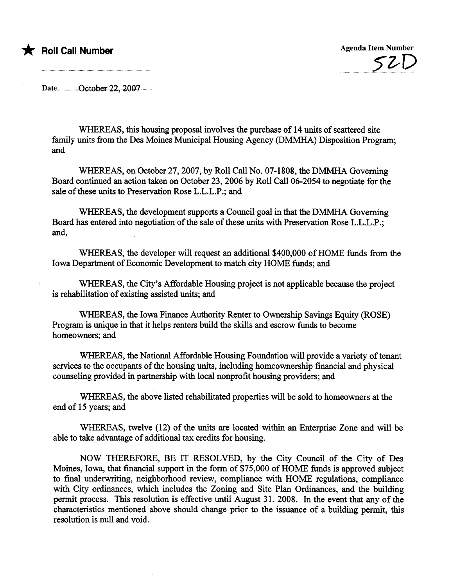

Date...............October.22, 2007.........

WHEREAS, this housing proposal involves the purchase of 14 units of scattered site family units from the Des Moines Municipal Housing Agency (DMMHA) Disposition Program; and

WHEREAS, on October 27, 2007, by Roll Call No. 07-1808, the DMMHA Governing Board continued an action taken on October 23, 2006 by Roll Call 06-2054 to negotiate for the sale of these unts to Preservation Rose L.L.L.P.; and

WHEREAS, the development supports a Council goal in that the DMMHA Governing Board has entered into negotiation of the sale of these unts with Preservation Rose L.L.L.P.; and,

WHEREAS, the developer will request an additional \$400,000 of HOME funds from the Iowa Department of Economic Development to match city HOME funds; and

WHEREAS, the City's Affordable Housing project is not applicable because the project is rehabilitation of existing assisted units; and

WHEREAS, the Iowa Finance Authority Renter to Ownership Savings Equity (ROSE) Program is unique in that it helps renters build the skills and escrow funds to become homeowners; and

WHEREAS, the National Affordable Housing Foundation will provide a variety of tenant services to the occupants of the housing unts, including homeownership financial and physical counseling provided in partnership with local nonprofit housing providers; and

WHREAS, the above listed rehabiltated properties will be sold to homeowners at the end of 15 years; and

WHEREAS, twelve (12) of the units are located within an Enterprise Zone and will be able to take advantage of additional tax credits for housing.

NOW THEREFORE, BE IT RESOLVED, by the City Council of the City of Des Moines, Iowa, that financial support in the form of \$75,000 of HOME funds is approved subject to final underwriting, neighborhood review, compliance with HOME regulations, compliance with City ordinances, which includes the Zoning and Site Plan Ordinances, and the building permit process. This resolution is effective until August 31, 2008. In the event that any of the characteristics mentioned above should change prior to the issuance of a building permit, this resolution is null and void.